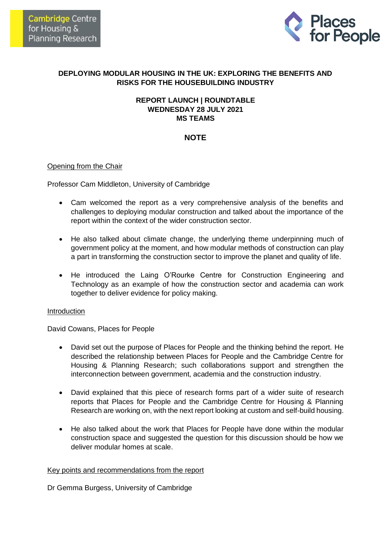

## **DEPLOYING MODULAR HOUSING IN THE UK: EXPLORING THE BENEFITS AND RISKS FOR THE HOUSEBUILDING INDUSTRY**

## **REPORT LAUNCH | ROUNDTABLE WEDNESDAY 28 JULY 2021 MS TEAMS**

# **NOTE**

## Opening from the Chair

Professor Cam Middleton, University of Cambridge

- Cam welcomed the report as a very comprehensive analysis of the benefits and challenges to deploying modular construction and talked about the importance of the report within the context of the wider construction sector.
- He also talked about climate change, the underlying theme underpinning much of government policy at the moment, and how modular methods of construction can play a part in transforming the construction sector to improve the planet and quality of life.
- He introduced the Laing O'Rourke Centre for Construction Engineering and Technology as an example of how the construction sector and academia can work together to deliver evidence for policy making.

#### **Introduction**

David Cowans, Places for People

- David set out the purpose of Places for People and the thinking behind the report. He described the relationship between Places for People and the Cambridge Centre for Housing & Planning Research; such collaborations support and strengthen the interconnection between government, academia and the construction industry.
- David explained that this piece of research forms part of a wider suite of research reports that Places for People and the Cambridge Centre for Housing & Planning Research are working on, with the next report looking at custom and self-build housing.
- He also talked about the work that Places for People have done within the modular construction space and suggested the question for this discussion should be how we deliver modular homes at scale.

#### Key points and recommendations from the report

Dr Gemma Burgess, University of Cambridge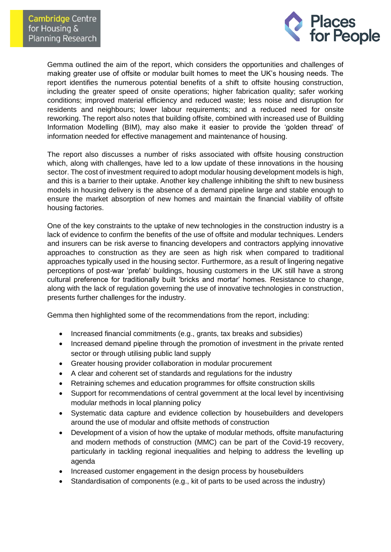

Gemma outlined the aim of the report, which considers the opportunities and challenges of making greater use of offsite or modular built homes to meet the UK's housing needs. The report identifies the numerous potential benefits of a shift to offsite housing construction, including the greater speed of onsite operations; higher fabrication quality; safer working conditions; improved material efficiency and reduced waste; less noise and disruption for residents and neighbours; lower labour requirements; and a reduced need for onsite reworking. The report also notes that building offsite, combined with increased use of Building Information Modelling (BIM), may also make it easier to provide the 'golden thread' of information needed for effective management and maintenance of housing.

The report also discusses a number of risks associated with offsite housing construction which, along with challenges, have led to a low update of these innovations in the housing sector. The cost of investment required to adopt modular housing development models is high, and this is a barrier to their uptake. Another key challenge inhibiting the shift to new business models in housing delivery is the absence of a demand pipeline large and stable enough to ensure the market absorption of new homes and maintain the financial viability of offsite housing factories.

One of the key constraints to the uptake of new technologies in the construction industry is a lack of evidence to confirm the benefits of the use of offsite and modular techniques. Lenders and insurers can be risk averse to financing developers and contractors applying innovative approaches to construction as they are seen as high risk when compared to traditional approaches typically used in the housing sector. Furthermore, as a result of lingering negative perceptions of post-war 'prefab' buildings, housing customers in the UK still have a strong cultural preference for traditionally built 'bricks and mortar' homes. Resistance to change, along with the lack of regulation governing the use of innovative technologies in construction, presents further challenges for the industry.

Gemma then highlighted some of the recommendations from the report, including:

- Increased financial commitments (e.g., grants, tax breaks and subsidies)
- Increased demand pipeline through the promotion of investment in the private rented sector or through utilising public land supply
- Greater housing provider collaboration in modular procurement
- A clear and coherent set of standards and regulations for the industry
- Retraining schemes and education programmes for offsite construction skills
- Support for recommendations of central government at the local level by incentivising modular methods in local planning policy
- Systematic data capture and evidence collection by housebuilders and developers around the use of modular and offsite methods of construction
- Development of a vision of how the uptake of modular methods, offsite manufacturing and modern methods of construction (MMC) can be part of the Covid-19 recovery, particularly in tackling regional inequalities and helping to address the levelling up agenda
- Increased customer engagement in the design process by housebuilders
- Standardisation of components (e.g., kit of parts to be used across the industry)